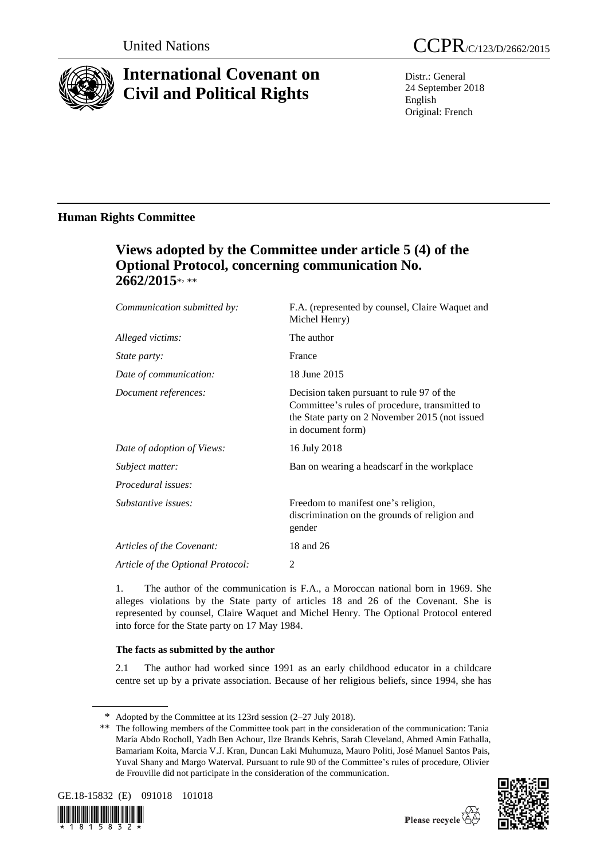

# **International Covenant on Civil and Political Rights**

Distr.: General 24 September 2018 English Original: French

### **Human Rights Committee**

## **Views adopted by the Committee under article 5 (4) of the Optional Protocol, concerning communication No. 2662/2015**\* , \*\*

| Communication submitted by:       | F.A. (represented by counsel, Claire Waquet and<br>Michel Henry)                                                                                                   |
|-----------------------------------|--------------------------------------------------------------------------------------------------------------------------------------------------------------------|
| Alleged victims:                  | The author                                                                                                                                                         |
| <i>State party:</i>               | France                                                                                                                                                             |
| Date of communication:            | 18 June 2015                                                                                                                                                       |
| Document references:              | Decision taken pursuant to rule 97 of the<br>Committee's rules of procedure, transmitted to<br>the State party on 2 November 2015 (not issued<br>in document form) |
| Date of adoption of Views:        | 16 July 2018                                                                                                                                                       |
| Subject matter:                   | Ban on wearing a headscarf in the workplace                                                                                                                        |
| <i>Procedural issues:</i>         |                                                                                                                                                                    |
| Substantive issues:               | Freedom to manifest one's religion,<br>discrimination on the grounds of religion and<br>gender                                                                     |
| Articles of the Covenant:         | 18 and 26                                                                                                                                                          |
| Article of the Optional Protocol: | 2                                                                                                                                                                  |

1. The author of the communication is F.A., a Moroccan national born in 1969. She alleges violations by the State party of articles 18 and 26 of the Covenant. She is represented by counsel, Claire Waquet and Michel Henry. The Optional Protocol entered into force for the State party on 17 May 1984.

### **The facts as submitted by the author**

2.1 The author had worked since 1991 as an early childhood educator in a childcare centre set up by a private association. Because of her religious beliefs, since 1994, she has

<sup>\*\*</sup> The following members of the Committee took part in the consideration of the communication: Tania María Abdo Rocholl, Yadh Ben Achour, Ilze Brands Kehris, Sarah Cleveland, Ahmed Amin Fathalla, Bamariam Koita, Marcia V.J. Kran, Duncan Laki Muhumuza, Mauro Politi, José Manuel Santos Pais, Yuval Shany and Margo Waterval. Pursuant to rule 90 of the Committee's rules of procedure, Olivier de Frouville did not participate in the consideration of the communication.



 $8$  1 5 8 3 2



<sup>\*</sup> Adopted by the Committee at its 123rd session (2–27 July 2018).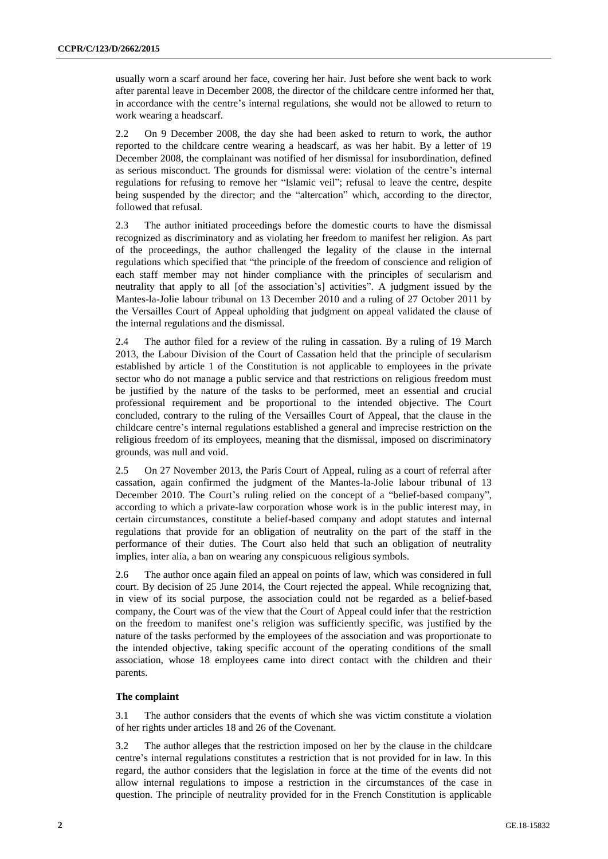usually worn a scarf around her face, covering her hair. Just before she went back to work after parental leave in December 2008, the director of the childcare centre informed her that, in accordance with the centre's internal regulations, she would not be allowed to return to work wearing a headscarf.

2.2 On 9 December 2008, the day she had been asked to return to work, the author reported to the childcare centre wearing a headscarf, as was her habit. By a letter of 19 December 2008, the complainant was notified of her dismissal for insubordination, defined as serious misconduct. The grounds for dismissal were: violation of the centre's internal regulations for refusing to remove her "Islamic veil"; refusal to leave the centre, despite being suspended by the director; and the "altercation" which, according to the director, followed that refusal.

2.3 The author initiated proceedings before the domestic courts to have the dismissal recognized as discriminatory and as violating her freedom to manifest her religion. As part of the proceedings, the author challenged the legality of the clause in the internal regulations which specified that "the principle of the freedom of conscience and religion of each staff member may not hinder compliance with the principles of secularism and neutrality that apply to all [of the association's] activities". A judgment issued by the Mantes-la-Jolie labour tribunal on 13 December 2010 and a ruling of 27 October 2011 by the Versailles Court of Appeal upholding that judgment on appeal validated the clause of the internal regulations and the dismissal.

2.4 The author filed for a review of the ruling in cassation. By a ruling of 19 March 2013, the Labour Division of the Court of Cassation held that the principle of secularism established by article 1 of the Constitution is not applicable to employees in the private sector who do not manage a public service and that restrictions on religious freedom must be justified by the nature of the tasks to be performed, meet an essential and crucial professional requirement and be proportional to the intended objective. The Court concluded, contrary to the ruling of the Versailles Court of Appeal, that the clause in the childcare centre's internal regulations established a general and imprecise restriction on the religious freedom of its employees, meaning that the dismissal, imposed on discriminatory grounds, was null and void.

2.5 On 27 November 2013, the Paris Court of Appeal, ruling as a court of referral after cassation, again confirmed the judgment of the Mantes-la-Jolie labour tribunal of 13 December 2010. The Court's ruling relied on the concept of a "belief-based company", according to which a private-law corporation whose work is in the public interest may, in certain circumstances, constitute a belief-based company and adopt statutes and internal regulations that provide for an obligation of neutrality on the part of the staff in the performance of their duties. The Court also held that such an obligation of neutrality implies, inter alia, a ban on wearing any conspicuous religious symbols.

2.6 The author once again filed an appeal on points of law, which was considered in full court. By decision of 25 June 2014, the Court rejected the appeal. While recognizing that, in view of its social purpose, the association could not be regarded as a belief-based company, the Court was of the view that the Court of Appeal could infer that the restriction on the freedom to manifest one's religion was sufficiently specific, was justified by the nature of the tasks performed by the employees of the association and was proportionate to the intended objective, taking specific account of the operating conditions of the small association, whose 18 employees came into direct contact with the children and their parents.

#### **The complaint**

3.1 The author considers that the events of which she was victim constitute a violation of her rights under articles 18 and 26 of the Covenant.

3.2 The author alleges that the restriction imposed on her by the clause in the childcare centre's internal regulations constitutes a restriction that is not provided for in law. In this regard, the author considers that the legislation in force at the time of the events did not allow internal regulations to impose a restriction in the circumstances of the case in question. The principle of neutrality provided for in the French Constitution is applicable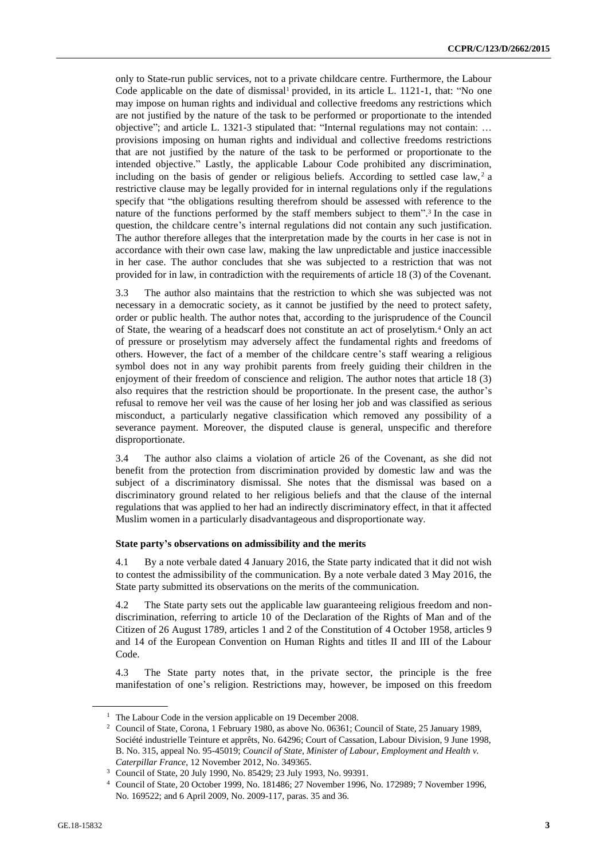only to State-run public services, not to a private childcare centre. Furthermore, the Labour Code applicable on the date of dismissal<sup>1</sup> provided, in its article L.  $1121-1$ , that: "No one may impose on human rights and individual and collective freedoms any restrictions which are not justified by the nature of the task to be performed or proportionate to the intended objective"; and article L. 1321-3 stipulated that: "Internal regulations may not contain: … provisions imposing on human rights and individual and collective freedoms restrictions that are not justified by the nature of the task to be performed or proportionate to the intended objective." Lastly, the applicable Labour Code prohibited any discrimination, including on the basis of gender or religious beliefs. According to settled case law,  $2a$ restrictive clause may be legally provided for in internal regulations only if the regulations specify that "the obligations resulting therefrom should be assessed with reference to the nature of the functions performed by the staff members subject to them". 3 In the case in question, the childcare centre's internal regulations did not contain any such justification. The author therefore alleges that the interpretation made by the courts in her case is not in accordance with their own case law, making the law unpredictable and justice inaccessible in her case. The author concludes that she was subjected to a restriction that was not provided for in law, in contradiction with the requirements of article 18 (3) of the Covenant.

3.3 The author also maintains that the restriction to which she was subjected was not necessary in a democratic society, as it cannot be justified by the need to protect safety, order or public health. The author notes that, according to the jurisprudence of the Council of State, the wearing of a headscarf does not constitute an act of proselytism.<sup>4</sup> Only an act of pressure or proselytism may adversely affect the fundamental rights and freedoms of others. However, the fact of a member of the childcare centre's staff wearing a religious symbol does not in any way prohibit parents from freely guiding their children in the enjoyment of their freedom of conscience and religion. The author notes that article 18 (3) also requires that the restriction should be proportionate. In the present case, the author's refusal to remove her veil was the cause of her losing her job and was classified as serious misconduct, a particularly negative classification which removed any possibility of a severance payment. Moreover, the disputed clause is general, unspecific and therefore disproportionate.

3.4 The author also claims a violation of article 26 of the Covenant, as she did not benefit from the protection from discrimination provided by domestic law and was the subject of a discriminatory dismissal. She notes that the dismissal was based on a discriminatory ground related to her religious beliefs and that the clause of the internal regulations that was applied to her had an indirectly discriminatory effect, in that it affected Muslim women in a particularly disadvantageous and disproportionate way.

#### **State party's observations on admissibility and the merits**

4.1 By a note verbale dated 4 January 2016, the State party indicated that it did not wish to contest the admissibility of the communication. By a note verbale dated 3 May 2016, the State party submitted its observations on the merits of the communication.

4.2 The State party sets out the applicable law guaranteeing religious freedom and nondiscrimination, referring to article 10 of the Declaration of the Rights of Man and of the Citizen of 26 August 1789, articles 1 and 2 of the Constitution of 4 October 1958, articles 9 and 14 of the European Convention on Human Rights and titles II and III of the Labour Code.

4.3 The State party notes that, in the private sector, the principle is the free manifestation of one's religion. Restrictions may, however, be imposed on this freedom

<sup>&</sup>lt;sup>1</sup> The Labour Code in the version applicable on 19 December 2008.

<sup>&</sup>lt;sup>2</sup> Council of State, Corona, 1 February 1980, as above No. 06361; Council of State, 25 January 1989, Société industrielle Teinture et apprêts, No. 64296; Court of Cassation, Labour Division, 9 June 1998, B. No. 315, appeal No. 95-45019; *Council of State, Minister of Labour, Employment and Health v. Caterpillar France*, 12 November 2012, No. 349365.

<sup>3</sup> Council of State, 20 July 1990, No. 85429; 23 July 1993, No. 99391.

<sup>4</sup> Council of State, 20 October 1999, No. 181486; 27 November 1996, No. 172989; 7 November 1996, No. 169522; and 6 April 2009, No. 2009-117, paras. 35 and 36.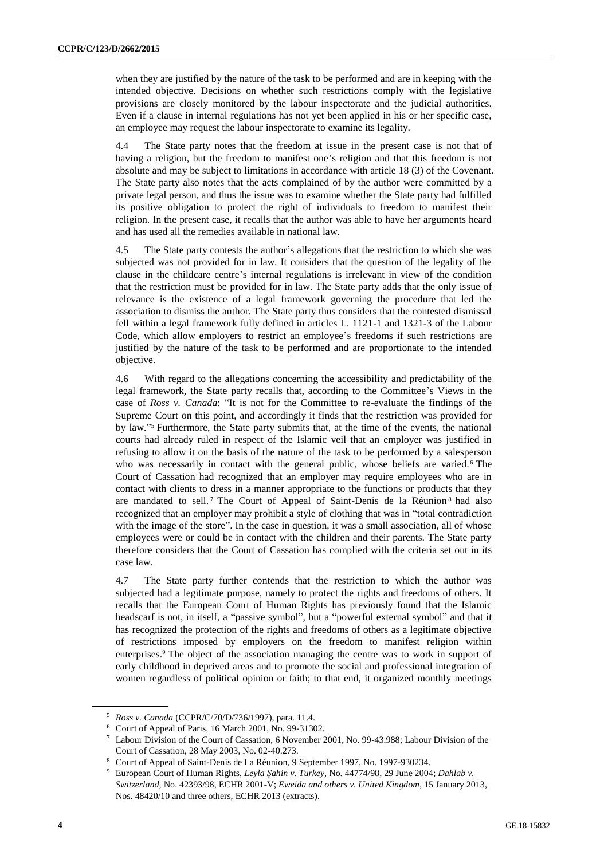when they are justified by the nature of the task to be performed and are in keeping with the intended objective. Decisions on whether such restrictions comply with the legislative provisions are closely monitored by the labour inspectorate and the judicial authorities. Even if a clause in internal regulations has not yet been applied in his or her specific case, an employee may request the labour inspectorate to examine its legality.

4.4 The State party notes that the freedom at issue in the present case is not that of having a religion, but the freedom to manifest one's religion and that this freedom is not absolute and may be subject to limitations in accordance with article 18 (3) of the Covenant. The State party also notes that the acts complained of by the author were committed by a private legal person, and thus the issue was to examine whether the State party had fulfilled its positive obligation to protect the right of individuals to freedom to manifest their religion. In the present case, it recalls that the author was able to have her arguments heard and has used all the remedies available in national law.

4.5 The State party contests the author's allegations that the restriction to which she was subjected was not provided for in law. It considers that the question of the legality of the clause in the childcare centre's internal regulations is irrelevant in view of the condition that the restriction must be provided for in law. The State party adds that the only issue of relevance is the existence of a legal framework governing the procedure that led the association to dismiss the author. The State party thus considers that the contested dismissal fell within a legal framework fully defined in articles L. 1121-1 and 1321-3 of the Labour Code, which allow employers to restrict an employee's freedoms if such restrictions are justified by the nature of the task to be performed and are proportionate to the intended objective.

4.6 With regard to the allegations concerning the accessibility and predictability of the legal framework, the State party recalls that, according to the Committee's Views in the case of *Ross v. Canada*: "It is not for the Committee to re-evaluate the findings of the Supreme Court on this point, and accordingly it finds that the restriction was provided for by law." <sup>5</sup> Furthermore, the State party submits that, at the time of the events, the national courts had already ruled in respect of the Islamic veil that an employer was justified in refusing to allow it on the basis of the nature of the task to be performed by a salesperson who was necessarily in contact with the general public, whose beliefs are varied.<sup>6</sup> The Court of Cassation had recognized that an employer may require employees who are in contact with clients to dress in a manner appropriate to the functions or products that they are mandated to sell.<sup>7</sup> The Court of Appeal of Saint-Denis de la Réunion<sup>8</sup> had also recognized that an employer may prohibit a style of clothing that was in "total contradiction with the image of the store". In the case in question, it was a small association, all of whose employees were or could be in contact with the children and their parents. The State party therefore considers that the Court of Cassation has complied with the criteria set out in its case law.

4.7 The State party further contends that the restriction to which the author was subjected had a legitimate purpose, namely to protect the rights and freedoms of others. It recalls that the European Court of Human Rights has previously found that the Islamic headscarf is not, in itself, a "passive symbol", but a "powerful external symbol" and that it has recognized the protection of the rights and freedoms of others as a legitimate objective of restrictions imposed by employers on the freedom to manifest religion within enterprises.<sup>9</sup> The object of the association managing the centre was to work in support of early childhood in deprived areas and to promote the social and professional integration of women regardless of political opinion or faith; to that end, it organized monthly meetings

<sup>5</sup> *Ross v. Canada* (CCPR/C/70/D/736/1997), para. 11.4.

<sup>6</sup> Court of Appeal of Paris, 16 March 2001, No. 99-31302.

<sup>7</sup> Labour Division of the Court of Cassation, 6 November 2001, No. 99-43.988; Labour Division of the Court of Cassation, 28 May 2003, No. 02-40.273.

<sup>8</sup> Court of Appeal of Saint-Denis de La Réunion, 9 September 1997, No. 1997-930234.

<sup>9</sup> European Court of Human Rights, *Leyla Şahin v. Turkey,* No. 44774/98, 29 June 2004; *Dahlab v. Switzerland,* No. 42393/98, ECHR 2001-V; *Eweida and others v. United Kingdom*, 15 January 2013, Nos. 48420/10 and three others, ECHR 2013 (extracts).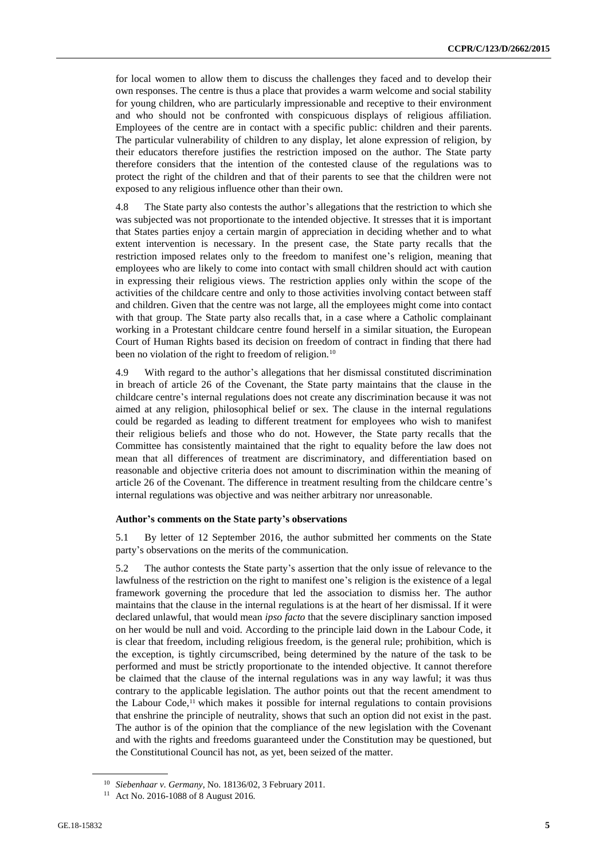for local women to allow them to discuss the challenges they faced and to develop their own responses. The centre is thus a place that provides a warm welcome and social stability for young children, who are particularly impressionable and receptive to their environment and who should not be confronted with conspicuous displays of religious affiliation. Employees of the centre are in contact with a specific public: children and their parents. The particular vulnerability of children to any display, let alone expression of religion, by their educators therefore justifies the restriction imposed on the author. The State party therefore considers that the intention of the contested clause of the regulations was to protect the right of the children and that of their parents to see that the children were not exposed to any religious influence other than their own.

4.8 The State party also contests the author's allegations that the restriction to which she was subjected was not proportionate to the intended objective. It stresses that it is important that States parties enjoy a certain margin of appreciation in deciding whether and to what extent intervention is necessary. In the present case, the State party recalls that the restriction imposed relates only to the freedom to manifest one's religion, meaning that employees who are likely to come into contact with small children should act with caution in expressing their religious views. The restriction applies only within the scope of the activities of the childcare centre and only to those activities involving contact between staff and children. Given that the centre was not large, all the employees might come into contact with that group. The State party also recalls that, in a case where a Catholic complainant working in a Protestant childcare centre found herself in a similar situation, the European Court of Human Rights based its decision on freedom of contract in finding that there had been no violation of the right to freedom of religion.<sup>10</sup>

4.9 With regard to the author's allegations that her dismissal constituted discrimination in breach of article 26 of the Covenant, the State party maintains that the clause in the childcare centre's internal regulations does not create any discrimination because it was not aimed at any religion, philosophical belief or sex. The clause in the internal regulations could be regarded as leading to different treatment for employees who wish to manifest their religious beliefs and those who do not. However, the State party recalls that the Committee has consistently maintained that the right to equality before the law does not mean that all differences of treatment are discriminatory, and differentiation based on reasonable and objective criteria does not amount to discrimination within the meaning of article 26 of the Covenant. The difference in treatment resulting from the childcare centre's internal regulations was objective and was neither arbitrary nor unreasonable.

#### **Author's comments on the State party's observations**

5.1 By letter of 12 September 2016, the author submitted her comments on the State party's observations on the merits of the communication.

5.2 The author contests the State party's assertion that the only issue of relevance to the lawfulness of the restriction on the right to manifest one's religion is the existence of a legal framework governing the procedure that led the association to dismiss her. The author maintains that the clause in the internal regulations is at the heart of her dismissal. If it were declared unlawful, that would mean *ipso facto* that the severe disciplinary sanction imposed on her would be null and void. According to the principle laid down in the Labour Code, it is clear that freedom, including religious freedom, is the general rule; prohibition, which is the exception, is tightly circumscribed, being determined by the nature of the task to be performed and must be strictly proportionate to the intended objective. It cannot therefore be claimed that the clause of the internal regulations was in any way lawful; it was thus contrary to the applicable legislation. The author points out that the recent amendment to the Labour Code, $<sup>11</sup>$  which makes it possible for internal regulations to contain provisions</sup> that enshrine the principle of neutrality, shows that such an option did not exist in the past. The author is of the opinion that the compliance of the new legislation with the Covenant and with the rights and freedoms guaranteed under the Constitution may be questioned, but the Constitutional Council has not, as yet, been seized of the matter.

<sup>10</sup> *Siebenhaar v. Germany*, No. 18136/02, 3 February 2011.

<sup>11</sup> Act No. 2016-1088 of 8 August 2016.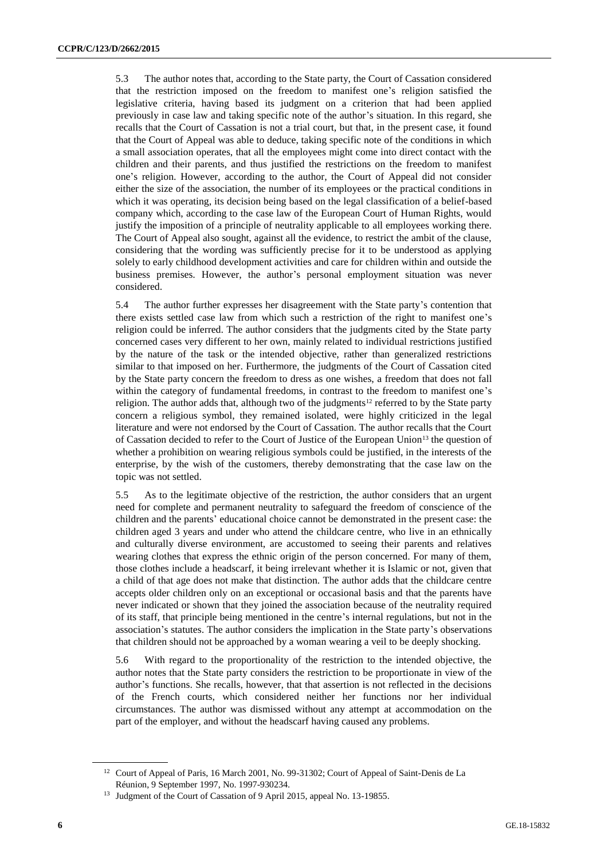5.3 The author notes that, according to the State party, the Court of Cassation considered that the restriction imposed on the freedom to manifest one's religion satisfied the legislative criteria, having based its judgment on a criterion that had been applied previously in case law and taking specific note of the author's situation. In this regard, she recalls that the Court of Cassation is not a trial court, but that, in the present case, it found that the Court of Appeal was able to deduce, taking specific note of the conditions in which a small association operates, that all the employees might come into direct contact with the children and their parents, and thus justified the restrictions on the freedom to manifest one's religion. However, according to the author, the Court of Appeal did not consider either the size of the association, the number of its employees or the practical conditions in which it was operating, its decision being based on the legal classification of a belief-based company which, according to the case law of the European Court of Human Rights, would justify the imposition of a principle of neutrality applicable to all employees working there. The Court of Appeal also sought, against all the evidence, to restrict the ambit of the clause, considering that the wording was sufficiently precise for it to be understood as applying solely to early childhood development activities and care for children within and outside the business premises. However, the author's personal employment situation was never considered.

5.4 The author further expresses her disagreement with the State party's contention that there exists settled case law from which such a restriction of the right to manifest one's religion could be inferred. The author considers that the judgments cited by the State party concerned cases very different to her own, mainly related to individual restrictions justified by the nature of the task or the intended objective, rather than generalized restrictions similar to that imposed on her. Furthermore, the judgments of the Court of Cassation cited by the State party concern the freedom to dress as one wishes, a freedom that does not fall within the category of fundamental freedoms, in contrast to the freedom to manifest one's religion. The author adds that, although two of the judgments<sup>12</sup> referred to by the State party concern a religious symbol, they remained isolated, were highly criticized in the legal literature and were not endorsed by the Court of Cassation. The author recalls that the Court of Cassation decided to refer to the Court of Justice of the European Union<sup>13</sup> the question of whether a prohibition on wearing religious symbols could be justified, in the interests of the enterprise, by the wish of the customers, thereby demonstrating that the case law on the topic was not settled.

5.5 As to the legitimate objective of the restriction, the author considers that an urgent need for complete and permanent neutrality to safeguard the freedom of conscience of the children and the parents' educational choice cannot be demonstrated in the present case: the children aged 3 years and under who attend the childcare centre, who live in an ethnically and culturally diverse environment, are accustomed to seeing their parents and relatives wearing clothes that express the ethnic origin of the person concerned. For many of them, those clothes include a headscarf, it being irrelevant whether it is Islamic or not, given that a child of that age does not make that distinction. The author adds that the childcare centre accepts older children only on an exceptional or occasional basis and that the parents have never indicated or shown that they joined the association because of the neutrality required of its staff, that principle being mentioned in the centre's internal regulations, but not in the association's statutes. The author considers the implication in the State party's observations that children should not be approached by a woman wearing a veil to be deeply shocking.

5.6 With regard to the proportionality of the restriction to the intended objective, the author notes that the State party considers the restriction to be proportionate in view of the author's functions. She recalls, however, that that assertion is not reflected in the decisions of the French courts, which considered neither her functions nor her individual circumstances. The author was dismissed without any attempt at accommodation on the part of the employer, and without the headscarf having caused any problems.

<sup>&</sup>lt;sup>12</sup> Court of Appeal of Paris, 16 March 2001, No. 99-31302; Court of Appeal of Saint-Denis de La Réunion, 9 September 1997, No. 1997-930234.

<sup>&</sup>lt;sup>13</sup> Judgment of the Court of Cassation of 9 April 2015, appeal No. 13-19855.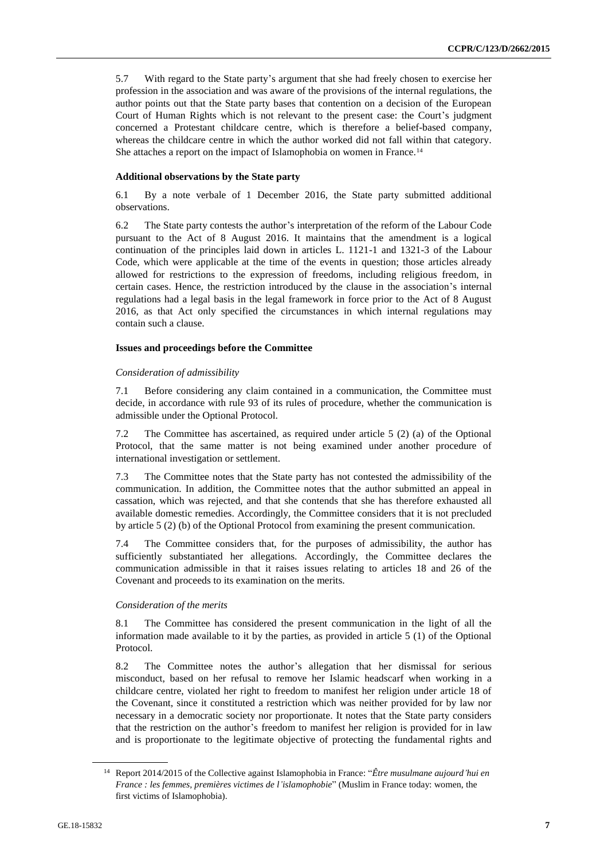5.7 With regard to the State party's argument that she had freely chosen to exercise her profession in the association and was aware of the provisions of the internal regulations, the author points out that the State party bases that contention on a decision of the European Court of Human Rights which is not relevant to the present case: the Court's judgment concerned a Protestant childcare centre, which is therefore a belief-based company, whereas the childcare centre in which the author worked did not fall within that category. She attaches a report on the impact of Islamophobia on women in France.<sup>14</sup>

#### **Additional observations by the State party**

6.1 By a note verbale of 1 December 2016, the State party submitted additional observations.

6.2 The State party contests the author's interpretation of the reform of the Labour Code pursuant to the Act of 8 August 2016. It maintains that the amendment is a logical continuation of the principles laid down in articles L. 1121-1 and 1321-3 of the Labour Code, which were applicable at the time of the events in question; those articles already allowed for restrictions to the expression of freedoms, including religious freedom, in certain cases. Hence, the restriction introduced by the clause in the association's internal regulations had a legal basis in the legal framework in force prior to the Act of 8 August 2016, as that Act only specified the circumstances in which internal regulations may contain such a clause.

#### **Issues and proceedings before the Committee**

#### *Consideration of admissibility*

7.1 Before considering any claim contained in a communication, the Committee must decide, in accordance with rule 93 of its rules of procedure, whether the communication is admissible under the Optional Protocol.

7.2 The Committee has ascertained, as required under article 5 (2) (a) of the Optional Protocol, that the same matter is not being examined under another procedure of international investigation or settlement.

7.3 The Committee notes that the State party has not contested the admissibility of the communication. In addition, the Committee notes that the author submitted an appeal in cassation, which was rejected, and that she contends that she has therefore exhausted all available domestic remedies. Accordingly, the Committee considers that it is not precluded by article 5 (2) (b) of the Optional Protocol from examining the present communication.

7.4 The Committee considers that, for the purposes of admissibility, the author has sufficiently substantiated her allegations. Accordingly, the Committee declares the communication admissible in that it raises issues relating to articles 18 and 26 of the Covenant and proceeds to its examination on the merits.

#### *Consideration of the merits*

8.1 The Committee has considered the present communication in the light of all the information made available to it by the parties, as provided in article 5 (1) of the Optional Protocol.

8.2 The Committee notes the author's allegation that her dismissal for serious misconduct, based on her refusal to remove her Islamic headscarf when working in a childcare centre, violated her right to freedom to manifest her religion under article 18 of the Covenant, since it constituted a restriction which was neither provided for by law nor necessary in a democratic society nor proportionate. It notes that the State party considers that the restriction on the author's freedom to manifest her religion is provided for in law and is proportionate to the legitimate objective of protecting the fundamental rights and

<sup>14</sup> Report 2014/2015 of the Collective against Islamophobia in France: "*Être musulmane aujourd'hui en France : les femmes, premières victimes de l'islamophobie*" (Muslim in France today: women, the first victims of Islamophobia).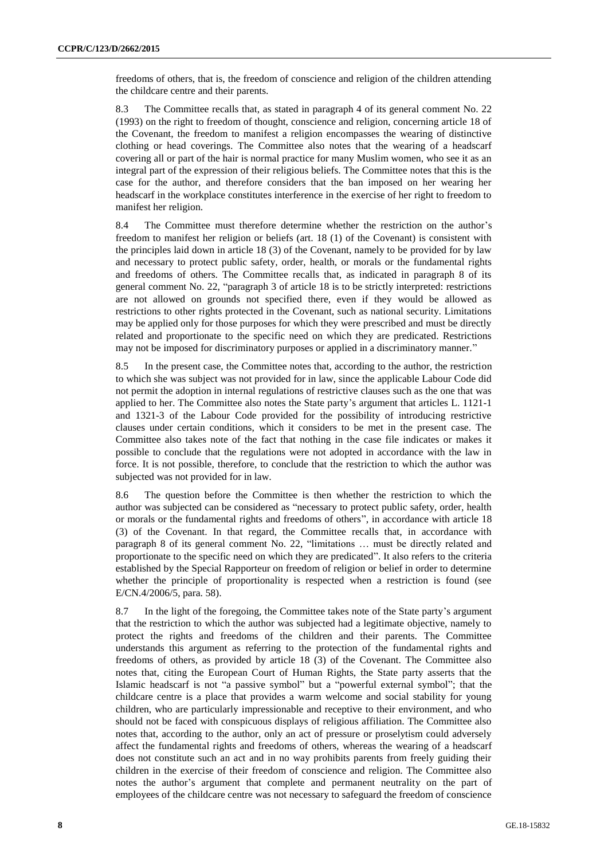freedoms of others, that is, the freedom of conscience and religion of the children attending the childcare centre and their parents.

8.3 The Committee recalls that, as stated in paragraph 4 of its general comment No. 22 (1993) on the right to freedom of thought, conscience and religion, concerning article 18 of the Covenant, the freedom to manifest a religion encompasses the wearing of distinctive clothing or head coverings. The Committee also notes that the wearing of a headscarf covering all or part of the hair is normal practice for many Muslim women, who see it as an integral part of the expression of their religious beliefs. The Committee notes that this is the case for the author, and therefore considers that the ban imposed on her wearing her headscarf in the workplace constitutes interference in the exercise of her right to freedom to manifest her religion.

8.4 The Committee must therefore determine whether the restriction on the author's freedom to manifest her religion or beliefs (art. 18 (1) of the Covenant) is consistent with the principles laid down in article 18 (3) of the Covenant, namely to be provided for by law and necessary to protect public safety, order, health, or morals or the fundamental rights and freedoms of others. The Committee recalls that, as indicated in paragraph 8 of its general comment No. 22, "paragraph 3 of article 18 is to be strictly interpreted: restrictions are not allowed on grounds not specified there, even if they would be allowed as restrictions to other rights protected in the Covenant, such as national security. Limitations may be applied only for those purposes for which they were prescribed and must be directly related and proportionate to the specific need on which they are predicated. Restrictions may not be imposed for discriminatory purposes or applied in a discriminatory manner."

8.5 In the present case, the Committee notes that, according to the author, the restriction to which she was subject was not provided for in law, since the applicable Labour Code did not permit the adoption in internal regulations of restrictive clauses such as the one that was applied to her. The Committee also notes the State party's argument that articles L. 1121-1 and 1321-3 of the Labour Code provided for the possibility of introducing restrictive clauses under certain conditions, which it considers to be met in the present case. The Committee also takes note of the fact that nothing in the case file indicates or makes it possible to conclude that the regulations were not adopted in accordance with the law in force. It is not possible, therefore, to conclude that the restriction to which the author was subjected was not provided for in law.

8.6 The question before the Committee is then whether the restriction to which the author was subjected can be considered as "necessary to protect public safety, order, health or morals or the fundamental rights and freedoms of others", in accordance with article 18 (3) of the Covenant. In that regard, the Committee recalls that, in accordance with paragraph 8 of its general comment No. 22, "limitations … must be directly related and proportionate to the specific need on which they are predicated". It also refers to the criteria established by the Special Rapporteur on freedom of religion or belief in order to determine whether the principle of proportionality is respected when a restriction is found (see E/CN.4/2006/5, para. 58).

8.7 In the light of the foregoing, the Committee takes note of the State party's argument that the restriction to which the author was subjected had a legitimate objective, namely to protect the rights and freedoms of the children and their parents. The Committee understands this argument as referring to the protection of the fundamental rights and freedoms of others, as provided by article 18 (3) of the Covenant. The Committee also notes that, citing the European Court of Human Rights, the State party asserts that the Islamic headscarf is not "a passive symbol" but a "powerful external symbol"; that the childcare centre is a place that provides a warm welcome and social stability for young children, who are particularly impressionable and receptive to their environment, and who should not be faced with conspicuous displays of religious affiliation. The Committee also notes that, according to the author, only an act of pressure or proselytism could adversely affect the fundamental rights and freedoms of others, whereas the wearing of a headscarf does not constitute such an act and in no way prohibits parents from freely guiding their children in the exercise of their freedom of conscience and religion. The Committee also notes the author's argument that complete and permanent neutrality on the part of employees of the childcare centre was not necessary to safeguard the freedom of conscience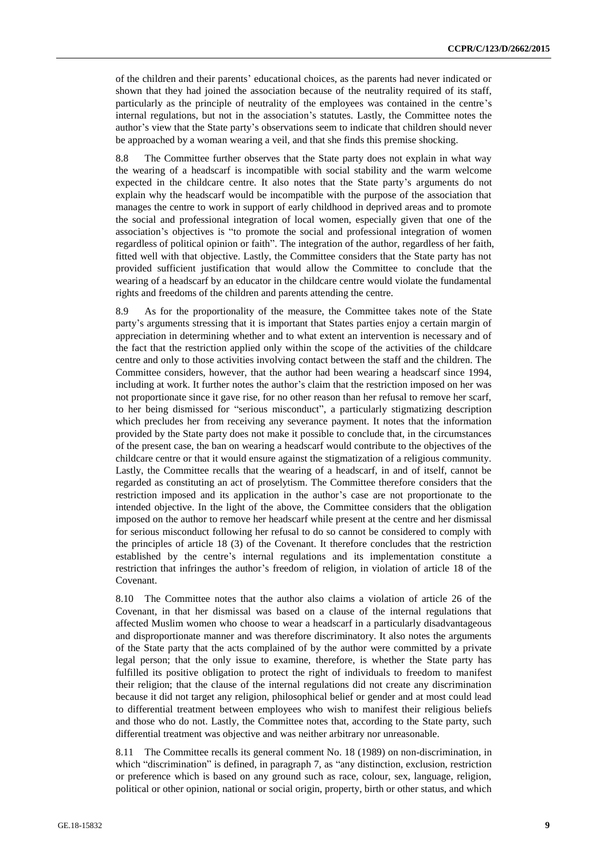of the children and their parents' educational choices, as the parents had never indicated or shown that they had joined the association because of the neutrality required of its staff, particularly as the principle of neutrality of the employees was contained in the centre's internal regulations, but not in the association's statutes. Lastly, the Committee notes the author's view that the State party's observations seem to indicate that children should never be approached by a woman wearing a veil, and that she finds this premise shocking.

8.8 The Committee further observes that the State party does not explain in what way the wearing of a headscarf is incompatible with social stability and the warm welcome expected in the childcare centre. It also notes that the State party's arguments do not explain why the headscarf would be incompatible with the purpose of the association that manages the centre to work in support of early childhood in deprived areas and to promote the social and professional integration of local women, especially given that one of the association's objectives is "to promote the social and professional integration of women regardless of political opinion or faith". The integration of the author, regardless of her faith, fitted well with that objective. Lastly, the Committee considers that the State party has not provided sufficient justification that would allow the Committee to conclude that the wearing of a headscarf by an educator in the childcare centre would violate the fundamental rights and freedoms of the children and parents attending the centre.

8.9 As for the proportionality of the measure, the Committee takes note of the State party's arguments stressing that it is important that States parties enjoy a certain margin of appreciation in determining whether and to what extent an intervention is necessary and of the fact that the restriction applied only within the scope of the activities of the childcare centre and only to those activities involving contact between the staff and the children. The Committee considers, however, that the author had been wearing a headscarf since 1994, including at work. It further notes the author's claim that the restriction imposed on her was not proportionate since it gave rise, for no other reason than her refusal to remove her scarf, to her being dismissed for "serious misconduct", a particularly stigmatizing description which precludes her from receiving any severance payment. It notes that the information provided by the State party does not make it possible to conclude that, in the circumstances of the present case, the ban on wearing a headscarf would contribute to the objectives of the childcare centre or that it would ensure against the stigmatization of a religious community. Lastly, the Committee recalls that the wearing of a headscarf, in and of itself, cannot be regarded as constituting an act of proselytism. The Committee therefore considers that the restriction imposed and its application in the author's case are not proportionate to the intended objective. In the light of the above, the Committee considers that the obligation imposed on the author to remove her headscarf while present at the centre and her dismissal for serious misconduct following her refusal to do so cannot be considered to comply with the principles of article 18 (3) of the Covenant. It therefore concludes that the restriction established by the centre's internal regulations and its implementation constitute a restriction that infringes the author's freedom of religion, in violation of article 18 of the Covenant.

8.10 The Committee notes that the author also claims a violation of article 26 of the Covenant, in that her dismissal was based on a clause of the internal regulations that affected Muslim women who choose to wear a headscarf in a particularly disadvantageous and disproportionate manner and was therefore discriminatory. It also notes the arguments of the State party that the acts complained of by the author were committed by a private legal person; that the only issue to examine, therefore, is whether the State party has fulfilled its positive obligation to protect the right of individuals to freedom to manifest their religion; that the clause of the internal regulations did not create any discrimination because it did not target any religion, philosophical belief or gender and at most could lead to differential treatment between employees who wish to manifest their religious beliefs and those who do not. Lastly, the Committee notes that, according to the State party, such differential treatment was objective and was neither arbitrary nor unreasonable.

8.11 The Committee recalls its general comment No. 18 (1989) on non-discrimination, in which "discrimination" is defined, in paragraph 7, as "any distinction, exclusion, restriction or preference which is based on any ground such as race, colour, sex, language, religion, political or other opinion, national or social origin, property, birth or other status, and which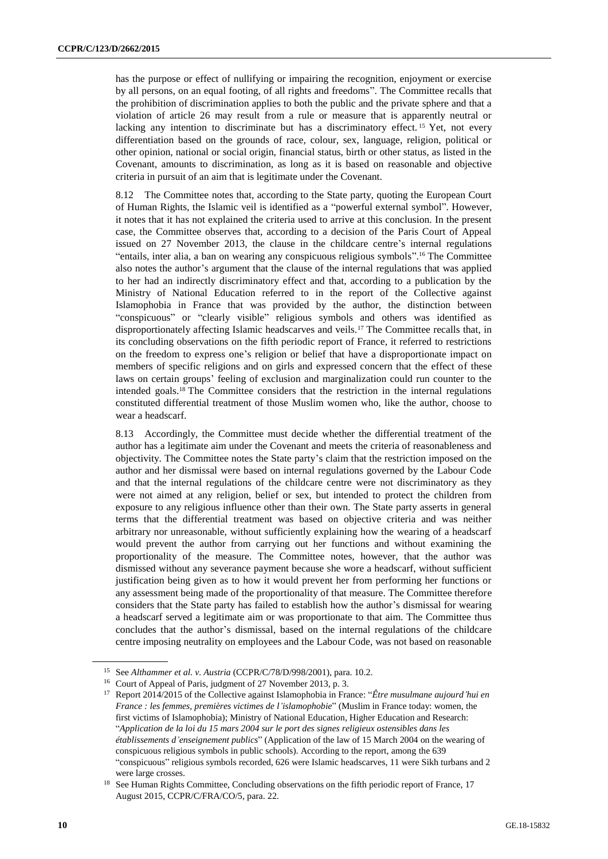has the purpose or effect of nullifying or impairing the recognition, enjoyment or exercise by all persons, on an equal footing, of all rights and freedoms". The Committee recalls that the prohibition of discrimination applies to both the public and the private sphere and that a violation of article 26 may result from a rule or measure that is apparently neutral or lacking any intention to discriminate but has a discriminatory effect.<sup>15</sup> Yet, not every differentiation based on the grounds of race, colour, sex, language, religion, political or other opinion, national or social origin, financial status, birth or other status, as listed in the Covenant, amounts to discrimination, as long as it is based on reasonable and objective criteria in pursuit of an aim that is legitimate under the Covenant.

8.12 The Committee notes that, according to the State party, quoting the European Court of Human Rights, the Islamic veil is identified as a "powerful external symbol". However, it notes that it has not explained the criteria used to arrive at this conclusion. In the present case, the Committee observes that, according to a decision of the Paris Court of Appeal issued on 27 November 2013, the clause in the childcare centre's internal regulations "entails, inter alia, a ban on wearing any conspicuous religious symbols". <sup>16</sup> The Committee also notes the author's argument that the clause of the internal regulations that was applied to her had an indirectly discriminatory effect and that, according to a publication by the Ministry of National Education referred to in the report of the Collective against Islamophobia in France that was provided by the author, the distinction between "conspicuous" or "clearly visible" religious symbols and others was identified as disproportionately affecting Islamic headscarves and veils.<sup>17</sup> The Committee recalls that, in its concluding observations on the fifth periodic report of France, it referred to restrictions on the freedom to express one's religion or belief that have a disproportionate impact on members of specific religions and on girls and expressed concern that the effect of these laws on certain groups' feeling of exclusion and marginalization could run counter to the intended goals.<sup>18</sup> The Committee considers that the restriction in the internal regulations constituted differential treatment of those Muslim women who, like the author, choose to wear a headscarf.

8.13 Accordingly, the Committee must decide whether the differential treatment of the author has a legitimate aim under the Covenant and meets the criteria of reasonableness and objectivity. The Committee notes the State party's claim that the restriction imposed on the author and her dismissal were based on internal regulations governed by the Labour Code and that the internal regulations of the childcare centre were not discriminatory as they were not aimed at any religion, belief or sex, but intended to protect the children from exposure to any religious influence other than their own. The State party asserts in general terms that the differential treatment was based on objective criteria and was neither arbitrary nor unreasonable, without sufficiently explaining how the wearing of a headscarf would prevent the author from carrying out her functions and without examining the proportionality of the measure. The Committee notes, however, that the author was dismissed without any severance payment because she wore a headscarf, without sufficient justification being given as to how it would prevent her from performing her functions or any assessment being made of the proportionality of that measure. The Committee therefore considers that the State party has failed to establish how the author's dismissal for wearing a headscarf served a legitimate aim or was proportionate to that aim. The Committee thus concludes that the author's dismissal, based on the internal regulations of the childcare centre imposing neutrality on employees and the Labour Code, was not based on reasonable

<sup>15</sup> See *Althammer et al. v. Austria* (CCPR/C/78/D/998/2001), para. 10.2.

<sup>16</sup> Court of Appeal of Paris, judgment of 27 November 2013, p. 3.

<sup>17</sup> Report 2014/2015 of the Collective against Islamophobia in France: "*Être musulmane aujourd'hui en France : les femmes, premières victimes de l'islamophobie*" (Muslim in France today: women, the first victims of Islamophobia); Ministry of National Education, Higher Education and Research: "*Application de la loi du 15 mars 2004 sur le port des signes religieux ostensibles dans les établissements d'enseignement publics*" (Application of the law of 15 March 2004 on the wearing of conspicuous religious symbols in public schools). According to the report, among the 639 "conspicuous" religious symbols recorded, 626 were Islamic headscarves, 11 were Sikh turbans and 2 were large crosses.

<sup>&</sup>lt;sup>18</sup> See Human Rights Committee, Concluding observations on the fifth periodic report of France, 17 August 2015, CCPR/C/FRA/CO/5, para. 22.